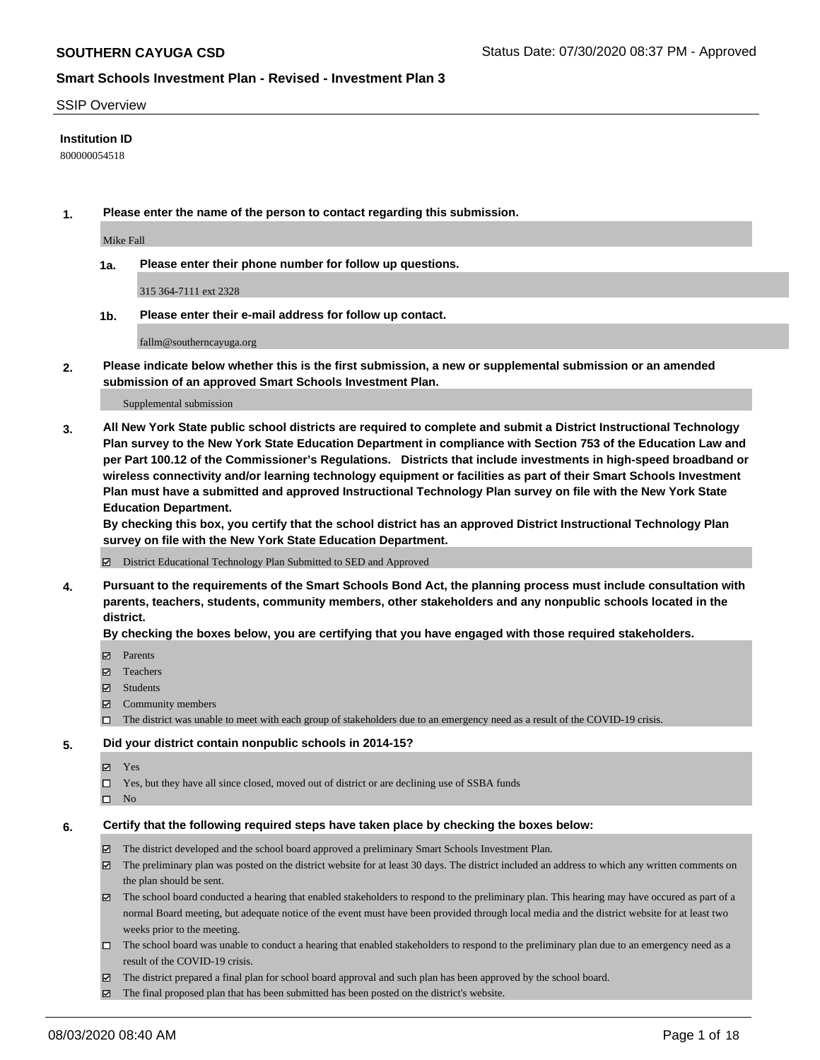#### SSIP Overview

### **Institution ID**

800000054518

**1. Please enter the name of the person to contact regarding this submission.**

Mike Fall

**1a. Please enter their phone number for follow up questions.**

315 364-7111 ext 2328

**1b. Please enter their e-mail address for follow up contact.**

fallm@southerncayuga.org

**2. Please indicate below whether this is the first submission, a new or supplemental submission or an amended submission of an approved Smart Schools Investment Plan.**

#### Supplemental submission

**3. All New York State public school districts are required to complete and submit a District Instructional Technology Plan survey to the New York State Education Department in compliance with Section 753 of the Education Law and per Part 100.12 of the Commissioner's Regulations. Districts that include investments in high-speed broadband or wireless connectivity and/or learning technology equipment or facilities as part of their Smart Schools Investment Plan must have a submitted and approved Instructional Technology Plan survey on file with the New York State Education Department.** 

**By checking this box, you certify that the school district has an approved District Instructional Technology Plan survey on file with the New York State Education Department.**

District Educational Technology Plan Submitted to SED and Approved

**4. Pursuant to the requirements of the Smart Schools Bond Act, the planning process must include consultation with parents, teachers, students, community members, other stakeholders and any nonpublic schools located in the district.** 

#### **By checking the boxes below, you are certifying that you have engaged with those required stakeholders.**

- **□** Parents
- Teachers
- Students
- $\boxtimes$  Community members
- The district was unable to meet with each group of stakeholders due to an emergency need as a result of the COVID-19 crisis.

#### **5. Did your district contain nonpublic schools in 2014-15?**

- **冈** Yes
- Yes, but they have all since closed, moved out of district or are declining use of SSBA funds
- $\square$  No

#### **6. Certify that the following required steps have taken place by checking the boxes below:**

- The district developed and the school board approved a preliminary Smart Schools Investment Plan.
- $\boxtimes$  The preliminary plan was posted on the district website for at least 30 days. The district included an address to which any written comments on the plan should be sent.
- The school board conducted a hearing that enabled stakeholders to respond to the preliminary plan. This hearing may have occured as part of a normal Board meeting, but adequate notice of the event must have been provided through local media and the district website for at least two weeks prior to the meeting.
- The school board was unable to conduct a hearing that enabled stakeholders to respond to the preliminary plan due to an emergency need as a result of the COVID-19 crisis.
- The district prepared a final plan for school board approval and such plan has been approved by the school board.
- $\boxtimes$  The final proposed plan that has been submitted has been posted on the district's website.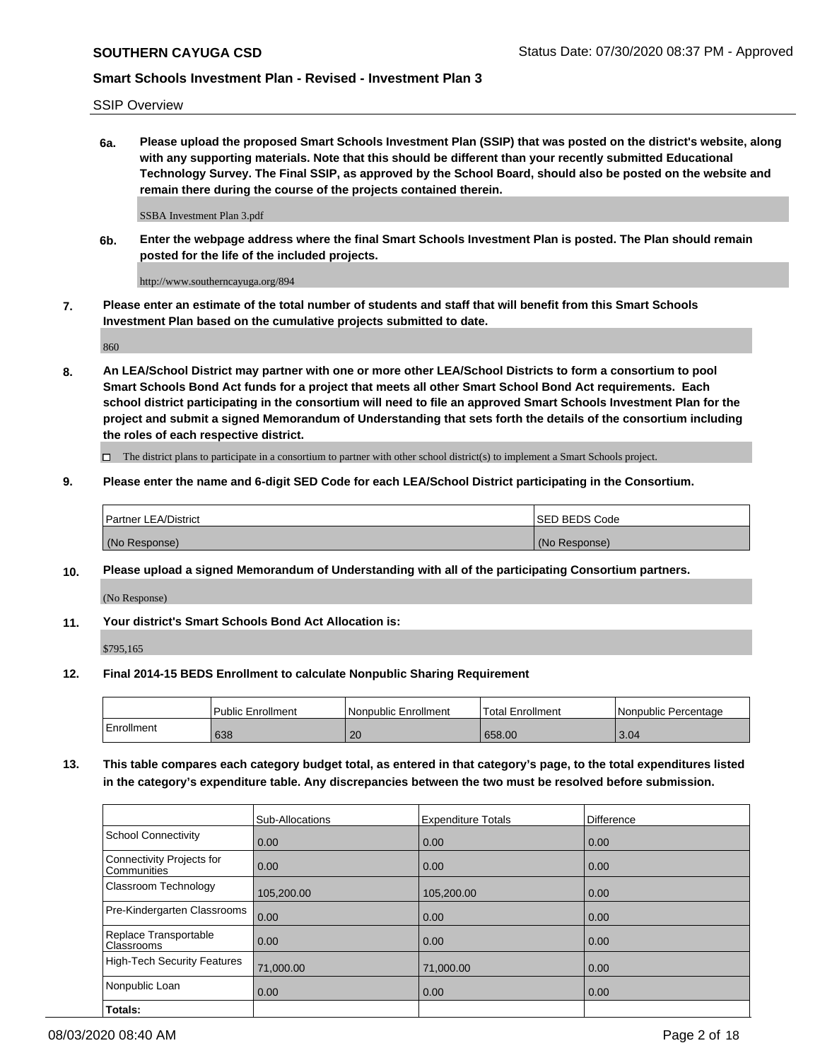SSIP Overview

**6a. Please upload the proposed Smart Schools Investment Plan (SSIP) that was posted on the district's website, along with any supporting materials. Note that this should be different than your recently submitted Educational Technology Survey. The Final SSIP, as approved by the School Board, should also be posted on the website and remain there during the course of the projects contained therein.**

SSBA Investment Plan 3.pdf

**6b. Enter the webpage address where the final Smart Schools Investment Plan is posted. The Plan should remain posted for the life of the included projects.**

http://www.southerncayuga.org/894

**7. Please enter an estimate of the total number of students and staff that will benefit from this Smart Schools Investment Plan based on the cumulative projects submitted to date.**

860

**8. An LEA/School District may partner with one or more other LEA/School Districts to form a consortium to pool Smart Schools Bond Act funds for a project that meets all other Smart School Bond Act requirements. Each school district participating in the consortium will need to file an approved Smart Schools Investment Plan for the project and submit a signed Memorandum of Understanding that sets forth the details of the consortium including the roles of each respective district.**

 $\Box$  The district plans to participate in a consortium to partner with other school district(s) to implement a Smart Schools project.

### **9. Please enter the name and 6-digit SED Code for each LEA/School District participating in the Consortium.**

| Partner LEA/District | <b>ISED BEDS Code</b> |
|----------------------|-----------------------|
| (No Response)        | (No Response)         |

### **10. Please upload a signed Memorandum of Understanding with all of the participating Consortium partners.**

(No Response)

**11. Your district's Smart Schools Bond Act Allocation is:**

\$795,165

### **12. Final 2014-15 BEDS Enrollment to calculate Nonpublic Sharing Requirement**

|            | Public Enrollment | Nonpublic Enrollment | Total Enrollment | Nonpublic Percentage |
|------------|-------------------|----------------------|------------------|----------------------|
| Enrollment | 638               | 20                   | 658.00           | 3.04                 |

**13. This table compares each category budget total, as entered in that category's page, to the total expenditures listed in the category's expenditure table. Any discrepancies between the two must be resolved before submission.**

|                                          | Sub-Allocations | <b>Expenditure Totals</b> | <b>Difference</b> |
|------------------------------------------|-----------------|---------------------------|-------------------|
| <b>School Connectivity</b>               | 0.00            | 0.00                      | 0.00              |
| Connectivity Projects for<br>Communities | 0.00            | 0.00                      | 0.00              |
| Classroom Technology                     | 105,200.00      | 105,200.00                | 0.00              |
| Pre-Kindergarten Classrooms              | 0.00            | 0.00                      | 0.00              |
| Replace Transportable<br>Classrooms      | 0.00            | 0.00                      | 0.00              |
| High-Tech Security Features              | 71,000.00       | 71,000.00                 | 0.00              |
| Nonpublic Loan                           | 0.00            | 0.00                      | 0.00              |
| Totals:                                  |                 |                           |                   |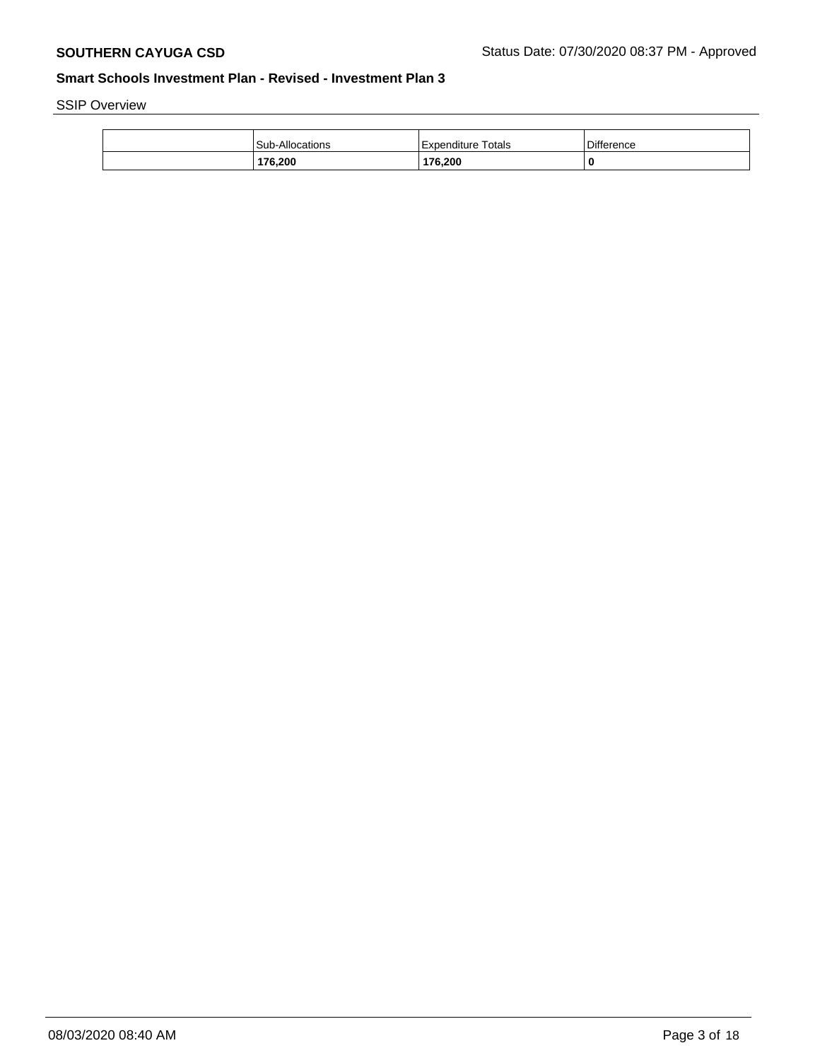SSIP Overview

| l Sub-Allocations | Totals<br>Expenditure | Difference |
|-------------------|-----------------------|------------|
| 176,200           | 176,200               | 0          |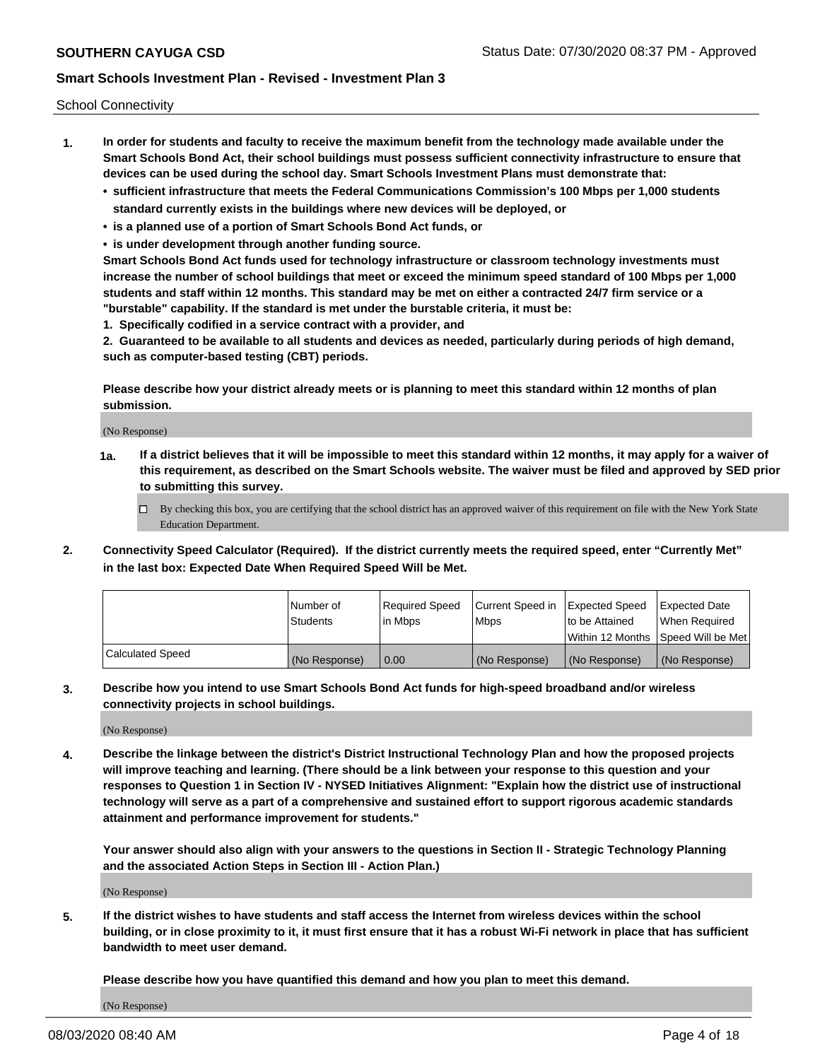School Connectivity

- **1. In order for students and faculty to receive the maximum benefit from the technology made available under the Smart Schools Bond Act, their school buildings must possess sufficient connectivity infrastructure to ensure that devices can be used during the school day. Smart Schools Investment Plans must demonstrate that:**
	- **• sufficient infrastructure that meets the Federal Communications Commission's 100 Mbps per 1,000 students standard currently exists in the buildings where new devices will be deployed, or**
	- **• is a planned use of a portion of Smart Schools Bond Act funds, or**
	- **• is under development through another funding source.**

**Smart Schools Bond Act funds used for technology infrastructure or classroom technology investments must increase the number of school buildings that meet or exceed the minimum speed standard of 100 Mbps per 1,000 students and staff within 12 months. This standard may be met on either a contracted 24/7 firm service or a "burstable" capability. If the standard is met under the burstable criteria, it must be:**

**1. Specifically codified in a service contract with a provider, and**

**2. Guaranteed to be available to all students and devices as needed, particularly during periods of high demand, such as computer-based testing (CBT) periods.**

**Please describe how your district already meets or is planning to meet this standard within 12 months of plan submission.**

(No Response)

**1a. If a district believes that it will be impossible to meet this standard within 12 months, it may apply for a waiver of this requirement, as described on the Smart Schools website. The waiver must be filed and approved by SED prior to submitting this survey.**

 $\Box$  By checking this box, you are certifying that the school district has an approved waiver of this requirement on file with the New York State Education Department.

**2. Connectivity Speed Calculator (Required). If the district currently meets the required speed, enter "Currently Met" in the last box: Expected Date When Required Speed Will be Met.**

|                  | l Number of     | Required Speed | Current Speed in | Expected Speed | Expected Date                           |
|------------------|-----------------|----------------|------------------|----------------|-----------------------------------------|
|                  | <b>Students</b> | In Mbps        | l Mbps           | to be Attained | When Required                           |
|                  |                 |                |                  |                | l Within 12 Months ISpeed Will be Met l |
| Calculated Speed | (No Response)   | 0.00           | (No Response)    | (No Response)  | (No Response)                           |

**3. Describe how you intend to use Smart Schools Bond Act funds for high-speed broadband and/or wireless connectivity projects in school buildings.**

(No Response)

**4. Describe the linkage between the district's District Instructional Technology Plan and how the proposed projects will improve teaching and learning. (There should be a link between your response to this question and your responses to Question 1 in Section IV - NYSED Initiatives Alignment: "Explain how the district use of instructional technology will serve as a part of a comprehensive and sustained effort to support rigorous academic standards attainment and performance improvement for students."** 

**Your answer should also align with your answers to the questions in Section II - Strategic Technology Planning and the associated Action Steps in Section III - Action Plan.)**

(No Response)

**5. If the district wishes to have students and staff access the Internet from wireless devices within the school building, or in close proximity to it, it must first ensure that it has a robust Wi-Fi network in place that has sufficient bandwidth to meet user demand.**

**Please describe how you have quantified this demand and how you plan to meet this demand.**

(No Response)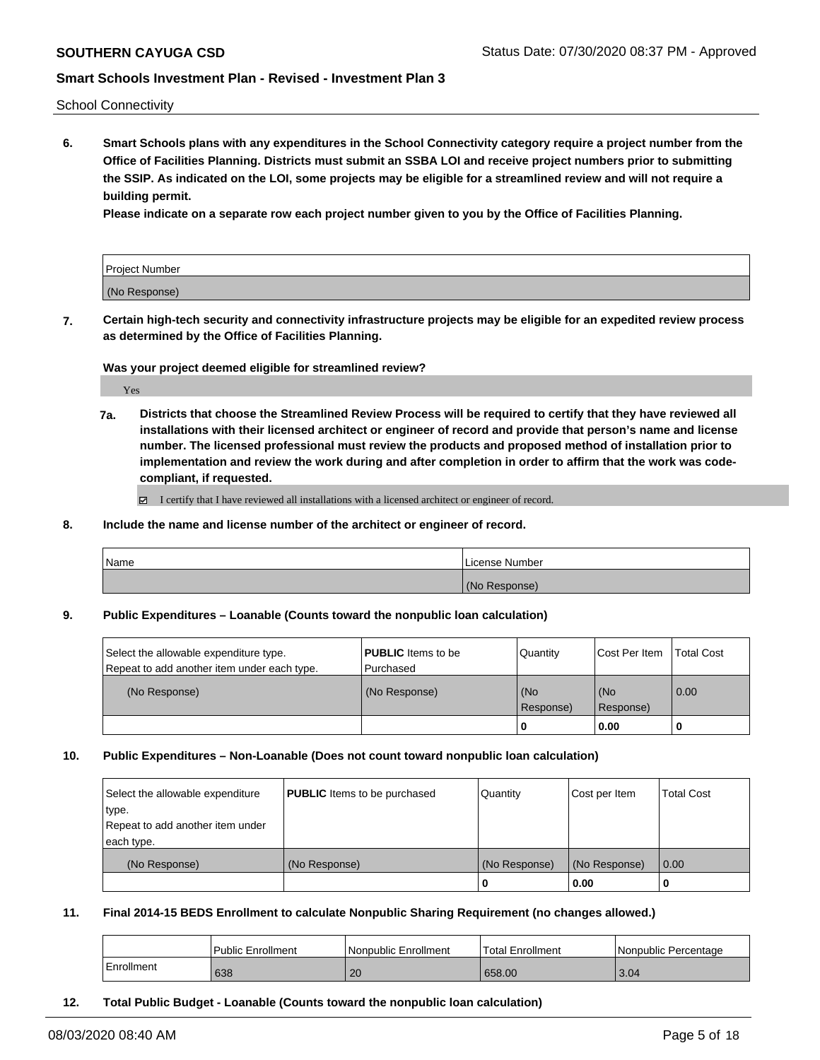School Connectivity

**6. Smart Schools plans with any expenditures in the School Connectivity category require a project number from the Office of Facilities Planning. Districts must submit an SSBA LOI and receive project numbers prior to submitting the SSIP. As indicated on the LOI, some projects may be eligible for a streamlined review and will not require a building permit.**

**Please indicate on a separate row each project number given to you by the Office of Facilities Planning.**

| Project Number |  |
|----------------|--|
| (No Response)  |  |

**7. Certain high-tech security and connectivity infrastructure projects may be eligible for an expedited review process as determined by the Office of Facilities Planning.**

**Was your project deemed eligible for streamlined review?**

Yes

**7a. Districts that choose the Streamlined Review Process will be required to certify that they have reviewed all installations with their licensed architect or engineer of record and provide that person's name and license number. The licensed professional must review the products and proposed method of installation prior to implementation and review the work during and after completion in order to affirm that the work was codecompliant, if requested.**

■ I certify that I have reviewed all installations with a licensed architect or engineer of record.

**8. Include the name and license number of the architect or engineer of record.**

| 'Name | License Number   |
|-------|------------------|
|       | (No<br>Response) |

**9. Public Expenditures – Loanable (Counts toward the nonpublic loan calculation)**

| Select the allowable expenditure type.      | <b>PUBLIC</b> Items to be | Quantity         | Cost Per Item      | <b>Total Cost</b> |
|---------------------------------------------|---------------------------|------------------|--------------------|-------------------|
| Repeat to add another item under each type. | l Purchased               |                  |                    |                   |
| (No Response)                               | (No Response)             | (No<br>Response) | l (No<br>Response) | $\overline{0.00}$ |
|                                             |                           | u                | 0.00               | υ                 |

#### **10. Public Expenditures – Non-Loanable (Does not count toward nonpublic loan calculation)**

| Select the allowable expenditure | <b>PUBLIC</b> Items to be purchased | Quantity      | Cost per Item | <b>Total Cost</b> |
|----------------------------------|-------------------------------------|---------------|---------------|-------------------|
| type.                            |                                     |               |               |                   |
| Repeat to add another item under |                                     |               |               |                   |
| each type.                       |                                     |               |               |                   |
| (No Response)                    | (No Response)                       | (No Response) | (No Response) | $\overline{0.00}$ |
|                                  |                                     |               | 0.00          |                   |

**11. Final 2014-15 BEDS Enrollment to calculate Nonpublic Sharing Requirement (no changes allowed.)**

|            | l Public Enrollment | l Nonpublic Enrollment | Total Enrollment | I Nonpublic Percentage |
|------------|---------------------|------------------------|------------------|------------------------|
| Enrollment | 638                 | 20                     | 658.00           | 3.04                   |

**12. Total Public Budget - Loanable (Counts toward the nonpublic loan calculation)**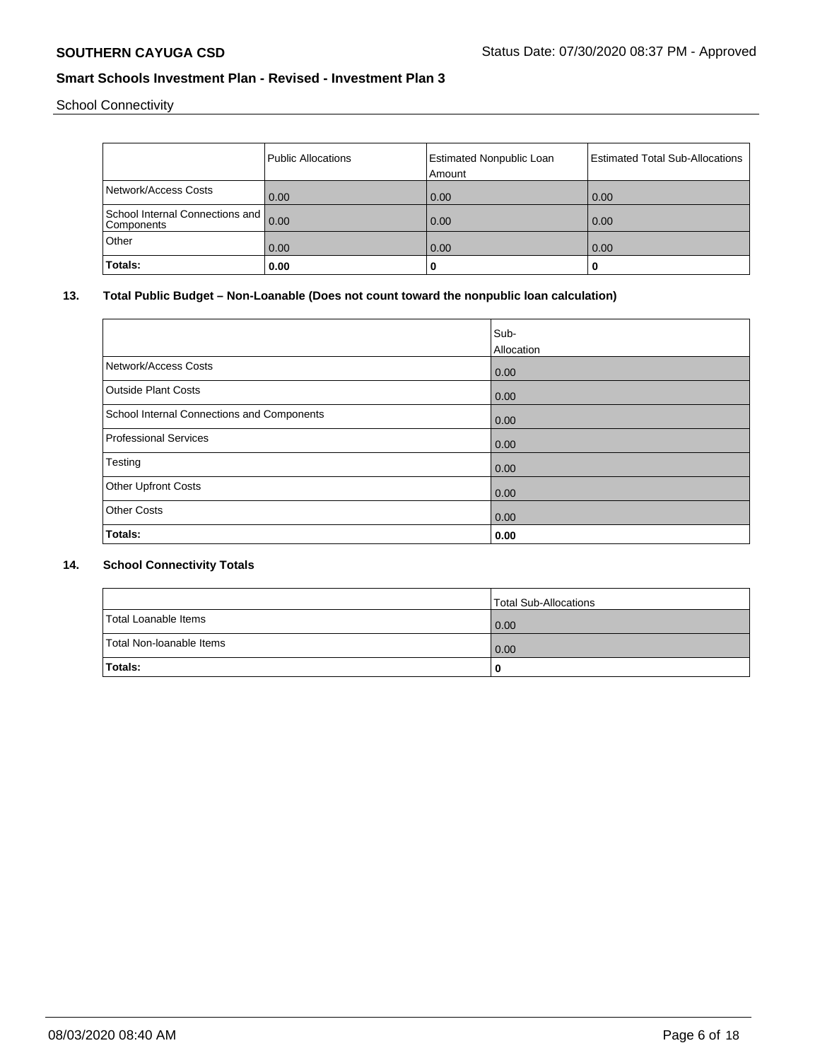School Connectivity

|                                                    | Public Allocations | <b>Estimated Nonpublic Loan</b><br>Amount | <b>Estimated Total Sub-Allocations</b> |
|----------------------------------------------------|--------------------|-------------------------------------------|----------------------------------------|
| Network/Access Costs                               | 0.00               | 0.00                                      | 0.00                                   |
| School Internal Connections and 0.00<br>Components |                    | 0.00                                      | 0.00                                   |
| Other                                              | 0.00               | 0.00                                      | 0.00                                   |
| Totals:                                            | 0.00               | 0                                         | u                                      |

# **13. Total Public Budget – Non-Loanable (Does not count toward the nonpublic loan calculation)**

|                                            | Sub-<br>Allocation |
|--------------------------------------------|--------------------|
| Network/Access Costs                       | 0.00               |
| <b>Outside Plant Costs</b>                 | 0.00               |
| School Internal Connections and Components | 0.00               |
| Professional Services                      | 0.00               |
| Testing                                    | 0.00               |
| <b>Other Upfront Costs</b>                 | 0.00               |
| <b>Other Costs</b>                         | 0.00               |
| Totals:                                    | 0.00               |

### **14. School Connectivity Totals**

|                          | Total Sub-Allocations |
|--------------------------|-----------------------|
| Total Loanable Items     | 0.00                  |
| Total Non-Ioanable Items | 0.00                  |
| <b>Totals:</b>           | 0                     |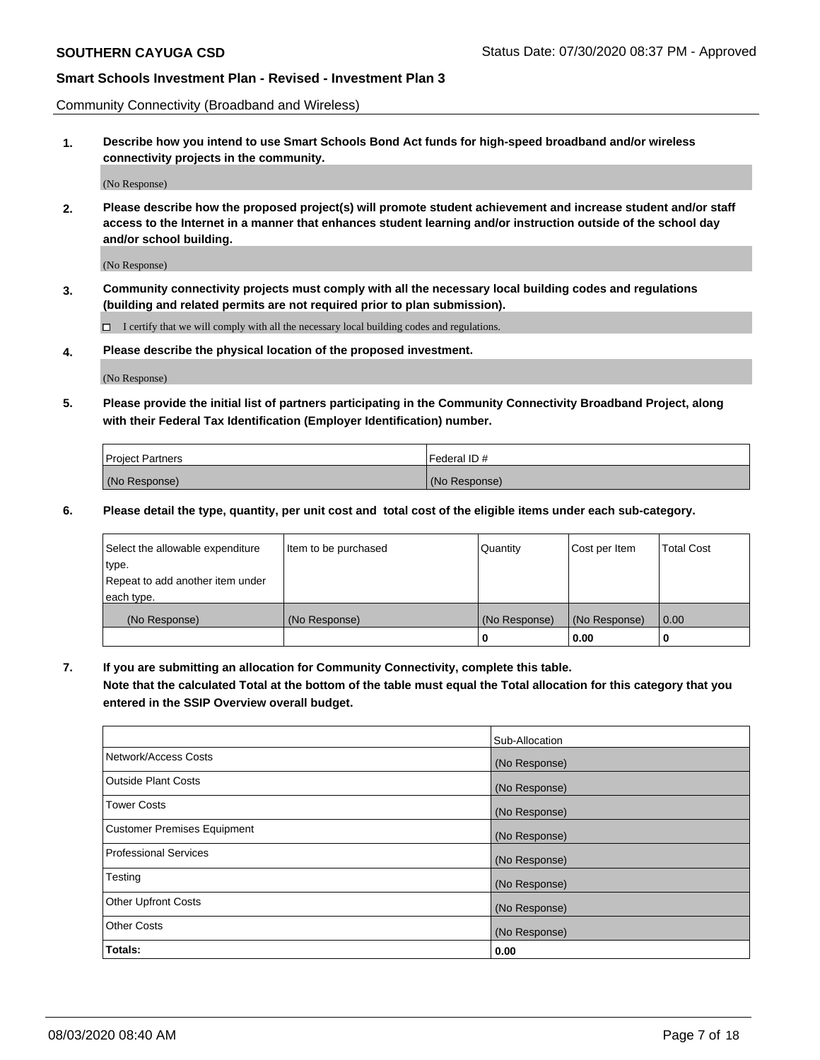Community Connectivity (Broadband and Wireless)

**1. Describe how you intend to use Smart Schools Bond Act funds for high-speed broadband and/or wireless connectivity projects in the community.**

(No Response)

**2. Please describe how the proposed project(s) will promote student achievement and increase student and/or staff access to the Internet in a manner that enhances student learning and/or instruction outside of the school day and/or school building.**

(No Response)

**3. Community connectivity projects must comply with all the necessary local building codes and regulations (building and related permits are not required prior to plan submission).**

 $\Box$  I certify that we will comply with all the necessary local building codes and regulations.

**4. Please describe the physical location of the proposed investment.**

(No Response)

**5. Please provide the initial list of partners participating in the Community Connectivity Broadband Project, along with their Federal Tax Identification (Employer Identification) number.**

| <b>Project Partners</b> | l Federal ID # |
|-------------------------|----------------|
| (No Response)           | (No Response)  |

**6. Please detail the type, quantity, per unit cost and total cost of the eligible items under each sub-category.**

| Select the allowable expenditure | Item to be purchased | Quantity      | Cost per Item | <b>Total Cost</b> |
|----------------------------------|----------------------|---------------|---------------|-------------------|
| type.                            |                      |               |               |                   |
| Repeat to add another item under |                      |               |               |                   |
| each type.                       |                      |               |               |                   |
| (No Response)                    | (No Response)        | (No Response) | (No Response) | 0.00              |
|                                  |                      | o             | 0.00          |                   |

**7. If you are submitting an allocation for Community Connectivity, complete this table.**

**Note that the calculated Total at the bottom of the table must equal the Total allocation for this category that you entered in the SSIP Overview overall budget.**

|                                    | Sub-Allocation |
|------------------------------------|----------------|
| Network/Access Costs               | (No Response)  |
| Outside Plant Costs                | (No Response)  |
| <b>Tower Costs</b>                 | (No Response)  |
| <b>Customer Premises Equipment</b> | (No Response)  |
| <b>Professional Services</b>       | (No Response)  |
| Testing                            | (No Response)  |
| <b>Other Upfront Costs</b>         | (No Response)  |
| <b>Other Costs</b>                 | (No Response)  |
| Totals:                            | 0.00           |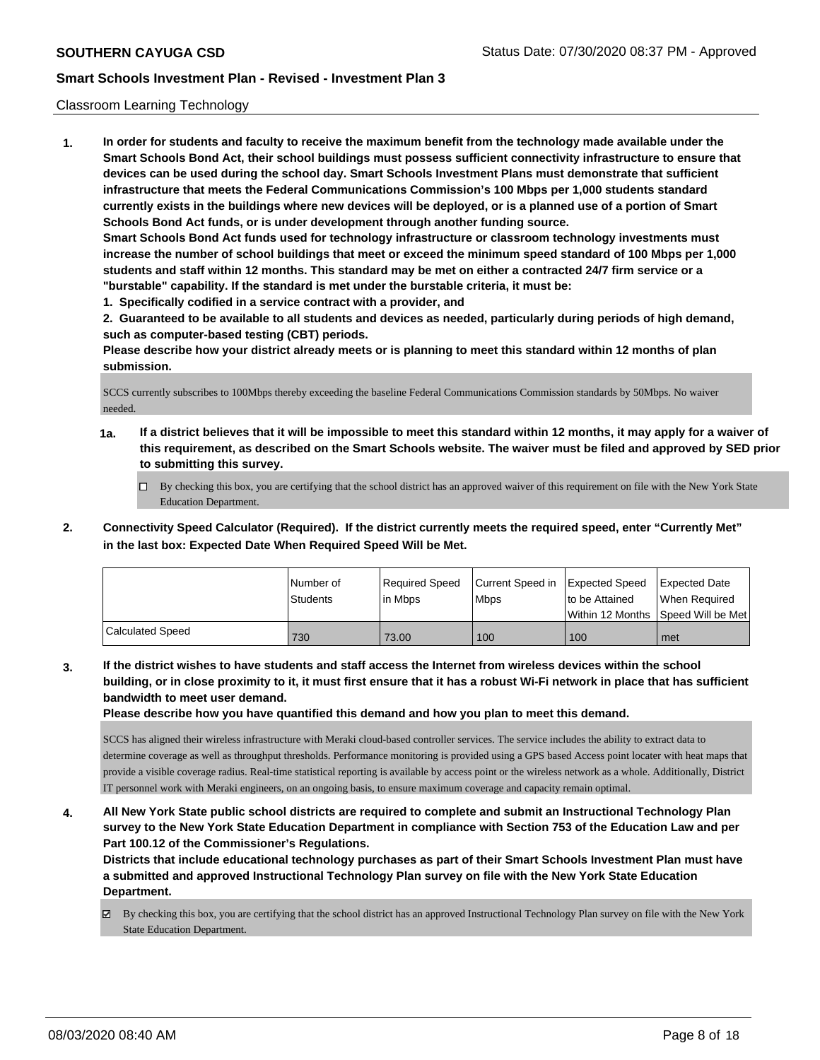### Classroom Learning Technology

**1. In order for students and faculty to receive the maximum benefit from the technology made available under the Smart Schools Bond Act, their school buildings must possess sufficient connectivity infrastructure to ensure that devices can be used during the school day. Smart Schools Investment Plans must demonstrate that sufficient infrastructure that meets the Federal Communications Commission's 100 Mbps per 1,000 students standard currently exists in the buildings where new devices will be deployed, or is a planned use of a portion of Smart Schools Bond Act funds, or is under development through another funding source. Smart Schools Bond Act funds used for technology infrastructure or classroom technology investments must increase the number of school buildings that meet or exceed the minimum speed standard of 100 Mbps per 1,000 students and staff within 12 months. This standard may be met on either a contracted 24/7 firm service or a "burstable" capability. If the standard is met under the burstable criteria, it must be:**

**1. Specifically codified in a service contract with a provider, and**

**2. Guaranteed to be available to all students and devices as needed, particularly during periods of high demand, such as computer-based testing (CBT) periods.**

**Please describe how your district already meets or is planning to meet this standard within 12 months of plan submission.**

SCCS currently subscribes to 100Mbps thereby exceeding the baseline Federal Communications Commission standards by 50Mbps. No waiver needed.

- **1a. If a district believes that it will be impossible to meet this standard within 12 months, it may apply for a waiver of this requirement, as described on the Smart Schools website. The waiver must be filed and approved by SED prior to submitting this survey.**
	- By checking this box, you are certifying that the school district has an approved waiver of this requirement on file with the New York State Education Department.
- **2. Connectivity Speed Calculator (Required). If the district currently meets the required speed, enter "Currently Met" in the last box: Expected Date When Required Speed Will be Met.**

|                         | l Number of<br>Students | Required Speed<br>l in Mbps | Current Speed in Expected Speed<br><b>Mbps</b> | to be Attained | Expected Date<br>When Required<br>Within 12 Months 1Speed Will be Met1 |
|-------------------------|-------------------------|-----------------------------|------------------------------------------------|----------------|------------------------------------------------------------------------|
| <b>Calculated Speed</b> | 730                     | 73.00                       | 100                                            | 100            | met                                                                    |

**3. If the district wishes to have students and staff access the Internet from wireless devices within the school building, or in close proximity to it, it must first ensure that it has a robust Wi-Fi network in place that has sufficient bandwidth to meet user demand.**

**Please describe how you have quantified this demand and how you plan to meet this demand.**

SCCS has aligned their wireless infrastructure with Meraki cloud-based controller services. The service includes the ability to extract data to determine coverage as well as throughput thresholds. Performance monitoring is provided using a GPS based Access point locater with heat maps that provide a visible coverage radius. Real-time statistical reporting is available by access point or the wireless network as a whole. Additionally, District IT personnel work with Meraki engineers, on an ongoing basis, to ensure maximum coverage and capacity remain optimal.

**4. All New York State public school districts are required to complete and submit an Instructional Technology Plan survey to the New York State Education Department in compliance with Section 753 of the Education Law and per Part 100.12 of the Commissioner's Regulations.**

**Districts that include educational technology purchases as part of their Smart Schools Investment Plan must have a submitted and approved Instructional Technology Plan survey on file with the New York State Education Department.**

By checking this box, you are certifying that the school district has an approved Instructional Technology Plan survey on file with the New York State Education Department.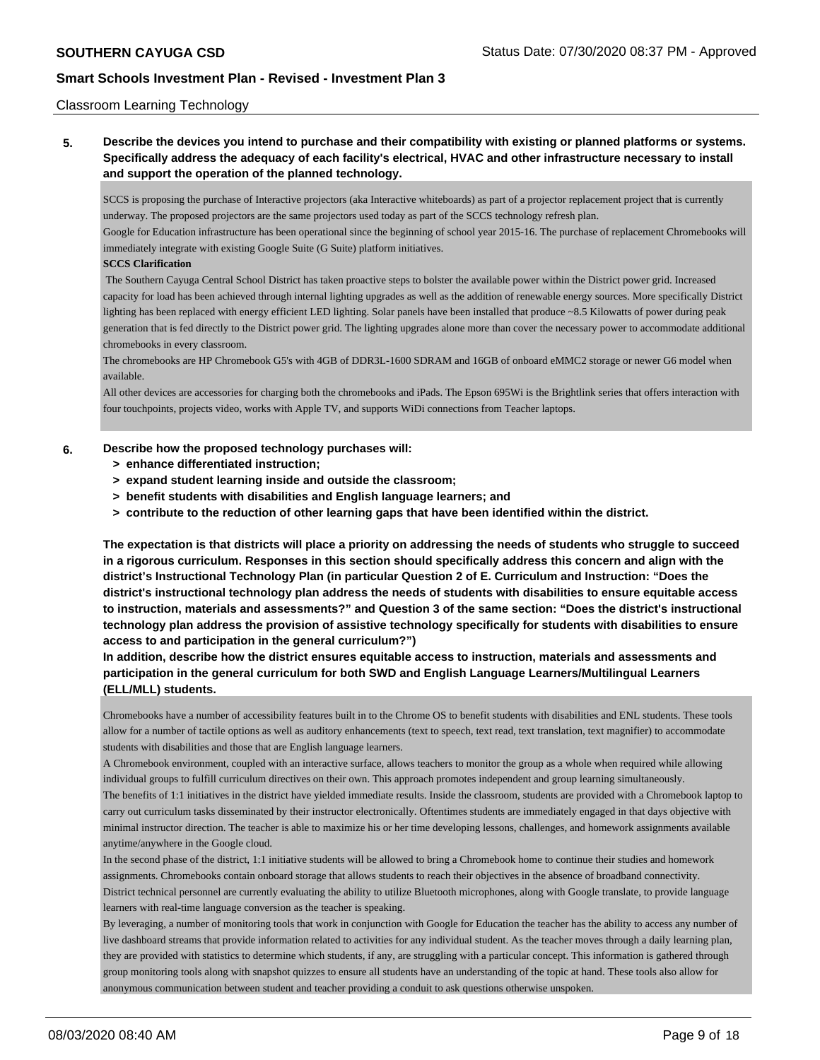### Classroom Learning Technology

**5. Describe the devices you intend to purchase and their compatibility with existing or planned platforms or systems. Specifically address the adequacy of each facility's electrical, HVAC and other infrastructure necessary to install and support the operation of the planned technology.**

SCCS is proposing the purchase of Interactive projectors (aka Interactive whiteboards) as part of a projector replacement project that is currently underway. The proposed projectors are the same projectors used today as part of the SCCS technology refresh plan.

Google for Education infrastructure has been operational since the beginning of school year 2015-16. The purchase of replacement Chromebooks will immediately integrate with existing Google Suite (G Suite) platform initiatives.

#### **SCCS Clarification**

 The Southern Cayuga Central School District has taken proactive steps to bolster the available power within the District power grid. Increased capacity for load has been achieved through internal lighting upgrades as well as the addition of renewable energy sources. More specifically District lighting has been replaced with energy efficient LED lighting. Solar panels have been installed that produce ~8.5 Kilowatts of power during peak generation that is fed directly to the District power grid. The lighting upgrades alone more than cover the necessary power to accommodate additional chromebooks in every classroom.

The chromebooks are HP Chromebook G5's with 4GB of DDR3L-1600 SDRAM and 16GB of onboard eMMC2 storage or newer G6 model when available.

All other devices are accessories for charging both the chromebooks and iPads. The Epson 695Wi is the Brightlink series that offers interaction with four touchpoints, projects video, works with Apple TV, and supports WiDi connections from Teacher laptops.

### **6. Describe how the proposed technology purchases will:**

- **> enhance differentiated instruction;**
- **> expand student learning inside and outside the classroom;**
- **> benefit students with disabilities and English language learners; and**
- **> contribute to the reduction of other learning gaps that have been identified within the district.**

**The expectation is that districts will place a priority on addressing the needs of students who struggle to succeed in a rigorous curriculum. Responses in this section should specifically address this concern and align with the district's Instructional Technology Plan (in particular Question 2 of E. Curriculum and Instruction: "Does the district's instructional technology plan address the needs of students with disabilities to ensure equitable access to instruction, materials and assessments?" and Question 3 of the same section: "Does the district's instructional technology plan address the provision of assistive technology specifically for students with disabilities to ensure access to and participation in the general curriculum?")**

**In addition, describe how the district ensures equitable access to instruction, materials and assessments and participation in the general curriculum for both SWD and English Language Learners/Multilingual Learners (ELL/MLL) students.**

Chromebooks have a number of accessibility features built in to the Chrome OS to benefit students with disabilities and ENL students. These tools allow for a number of tactile options as well as auditory enhancements (text to speech, text read, text translation, text magnifier) to accommodate students with disabilities and those that are English language learners.

A Chromebook environment, coupled with an interactive surface, allows teachers to monitor the group as a whole when required while allowing individual groups to fulfill curriculum directives on their own. This approach promotes independent and group learning simultaneously. The benefits of 1:1 initiatives in the district have yielded immediate results. Inside the classroom, students are provided with a Chromebook laptop to carry out curriculum tasks disseminated by their instructor electronically. Oftentimes students are immediately engaged in that days objective with minimal instructor direction. The teacher is able to maximize his or her time developing lessons, challenges, and homework assignments available anytime/anywhere in the Google cloud.

In the second phase of the district, 1:1 initiative students will be allowed to bring a Chromebook home to continue their studies and homework assignments. Chromebooks contain onboard storage that allows students to reach their objectives in the absence of broadband connectivity. District technical personnel are currently evaluating the ability to utilize Bluetooth microphones, along with Google translate, to provide language learners with real-time language conversion as the teacher is speaking.

By leveraging, a number of monitoring tools that work in conjunction with Google for Education the teacher has the ability to access any number of live dashboard streams that provide information related to activities for any individual student. As the teacher moves through a daily learning plan, they are provided with statistics to determine which students, if any, are struggling with a particular concept. This information is gathered through group monitoring tools along with snapshot quizzes to ensure all students have an understanding of the topic at hand. These tools also allow for anonymous communication between student and teacher providing a conduit to ask questions otherwise unspoken.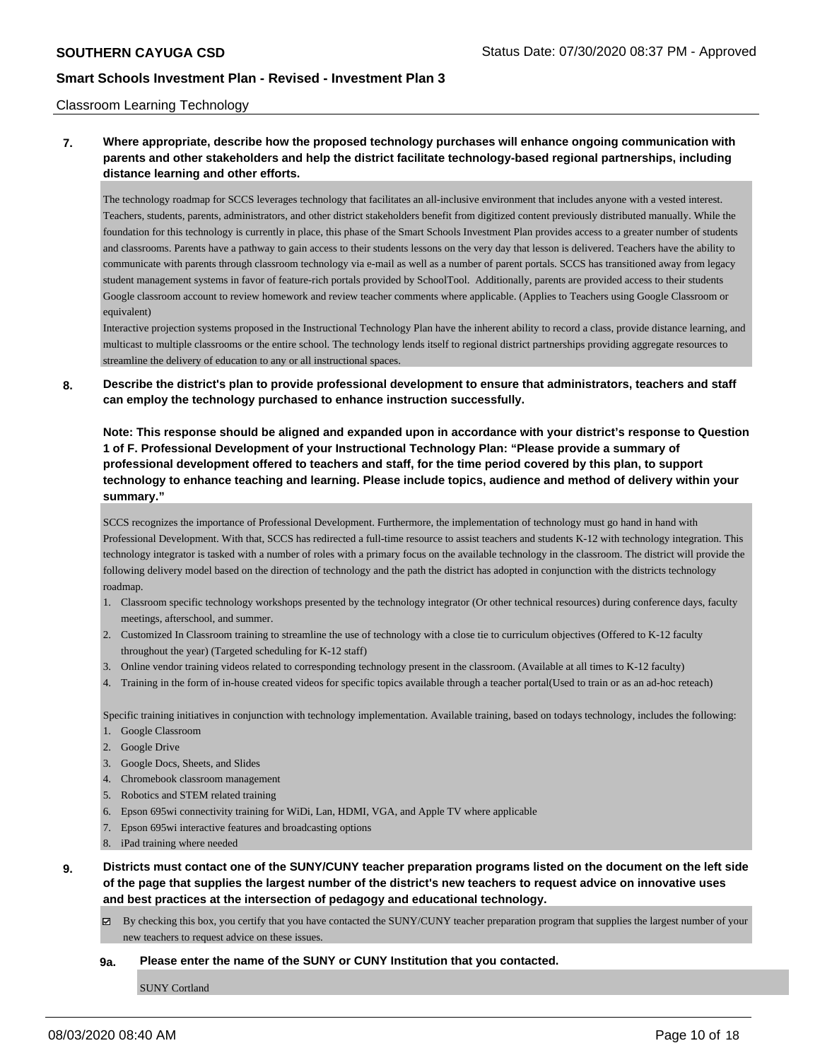#### Classroom Learning Technology

# **7. Where appropriate, describe how the proposed technology purchases will enhance ongoing communication with parents and other stakeholders and help the district facilitate technology-based regional partnerships, including distance learning and other efforts.**

The technology roadmap for SCCS leverages technology that facilitates an all-inclusive environment that includes anyone with a vested interest. Teachers, students, parents, administrators, and other district stakeholders benefit from digitized content previously distributed manually. While the foundation for this technology is currently in place, this phase of the Smart Schools Investment Plan provides access to a greater number of students and classrooms. Parents have a pathway to gain access to their students lessons on the very day that lesson is delivered. Teachers have the ability to communicate with parents through classroom technology via e-mail as well as a number of parent portals. SCCS has transitioned away from legacy student management systems in favor of feature-rich portals provided by SchoolTool. Additionally, parents are provided access to their students Google classroom account to review homework and review teacher comments where applicable. (Applies to Teachers using Google Classroom or equivalent)

Interactive projection systems proposed in the Instructional Technology Plan have the inherent ability to record a class, provide distance learning, and multicast to multiple classrooms or the entire school. The technology lends itself to regional district partnerships providing aggregate resources to streamline the delivery of education to any or all instructional spaces.

### **8. Describe the district's plan to provide professional development to ensure that administrators, teachers and staff can employ the technology purchased to enhance instruction successfully.**

**Note: This response should be aligned and expanded upon in accordance with your district's response to Question 1 of F. Professional Development of your Instructional Technology Plan: "Please provide a summary of professional development offered to teachers and staff, for the time period covered by this plan, to support technology to enhance teaching and learning. Please include topics, audience and method of delivery within your summary."**

SCCS recognizes the importance of Professional Development. Furthermore, the implementation of technology must go hand in hand with Professional Development. With that, SCCS has redirected a full-time resource to assist teachers and students K-12 with technology integration. This technology integrator is tasked with a number of roles with a primary focus on the available technology in the classroom. The district will provide the following delivery model based on the direction of technology and the path the district has adopted in conjunction with the district s technology roadmap.

- 1. Classroom specific technology workshops presented by the technology integrator (Or other technical resources) during conference days, faculty meetings, afterschool, and summer.
- 2. Customized In Classroom training to streamline the use of technology with a close tie to curriculum objectives (Offered to K-12 faculty throughout the year) (Targeted scheduling for K-12 staff)
- 3. Online vendor training videos related to corresponding technology present in the classroom. (Available at all times to K-12 faculty)
- 4. Training in the form of in-house created videos for specific topics available through a teacher portal(Used to train or as an ad-hoc reteach)

Specific training initiatives in conjunction with technology implementation. Available training, based on todays technology, includes the following:

- 1. Google Classroom
- 2. Google Drive
- 3. Google Docs, Sheets, and Slides
- 4. Chromebook classroom management
- 5. Robotics and STEM related training
- 6. Epson 695wi connectivity training for WiDi, Lan, HDMI, VGA, and Apple TV where applicable
- 7. Epson 695wi interactive features and broadcasting options
- 8. iPad training where needed
- **9. Districts must contact one of the SUNY/CUNY teacher preparation programs listed on the document on the left side of the page that supplies the largest number of the district's new teachers to request advice on innovative uses and best practices at the intersection of pedagogy and educational technology.**
	- $\boxtimes$  By checking this box, you certify that you have contacted the SUNY/CUNY teacher preparation program that supplies the largest number of your new teachers to request advice on these issues.

#### **9a. Please enter the name of the SUNY or CUNY Institution that you contacted.**

SUNY Cortland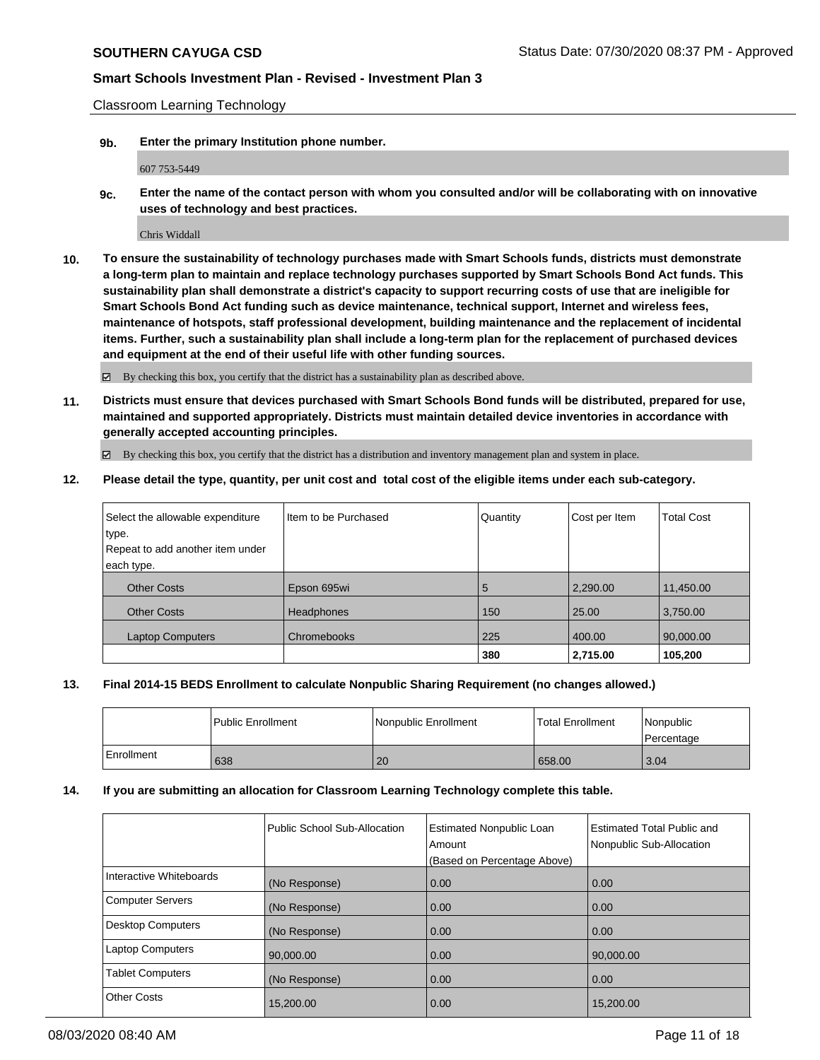Classroom Learning Technology

**9b. Enter the primary Institution phone number.**

607 753-5449

**9c. Enter the name of the contact person with whom you consulted and/or will be collaborating with on innovative uses of technology and best practices.**

Chris Widdall

**10. To ensure the sustainability of technology purchases made with Smart Schools funds, districts must demonstrate a long-term plan to maintain and replace technology purchases supported by Smart Schools Bond Act funds. This sustainability plan shall demonstrate a district's capacity to support recurring costs of use that are ineligible for Smart Schools Bond Act funding such as device maintenance, technical support, Internet and wireless fees, maintenance of hotspots, staff professional development, building maintenance and the replacement of incidental items. Further, such a sustainability plan shall include a long-term plan for the replacement of purchased devices and equipment at the end of their useful life with other funding sources.**

By checking this box, you certify that the district has a sustainability plan as described above.

**11. Districts must ensure that devices purchased with Smart Schools Bond funds will be distributed, prepared for use, maintained and supported appropriately. Districts must maintain detailed device inventories in accordance with generally accepted accounting principles.**

By checking this box, you certify that the district has a distribution and inventory management plan and system in place.

**12. Please detail the type, quantity, per unit cost and total cost of the eligible items under each sub-category.**

| Select the allowable expenditure | Iltem to be Purchased | Quantity | Cost per Item | <b>Total Cost</b> |
|----------------------------------|-----------------------|----------|---------------|-------------------|
| type.                            |                       |          |               |                   |
| Repeat to add another item under |                       |          |               |                   |
| each type.                       |                       |          |               |                   |
| <b>Other Costs</b>               | Epson 695wi           | 5        | 2,290.00      | 11,450.00         |
| <b>Other Costs</b>               | <b>Headphones</b>     | 150      | 25.00         | 3,750.00          |
| <b>Laptop Computers</b>          | Chromebooks           | 225      | 400.00        | 90,000.00         |
|                                  |                       | 380      | 2,715.00      | 105,200           |

### **13. Final 2014-15 BEDS Enrollment to calculate Nonpublic Sharing Requirement (no changes allowed.)**

|            | l Public Enrollment | Nonpublic Enrollment | <b>Total Enrollment</b> | Nonpublic<br>Percentage |
|------------|---------------------|----------------------|-------------------------|-------------------------|
| Enrollment | 638                 | 20                   | 658.00                  | 3.04                    |

### **14. If you are submitting an allocation for Classroom Learning Technology complete this table.**

|                          | Public School Sub-Allocation | <b>Estimated Nonpublic Loan</b><br>Amount<br>(Based on Percentage Above) | <b>Estimated Total Public and</b><br>Nonpublic Sub-Allocation |
|--------------------------|------------------------------|--------------------------------------------------------------------------|---------------------------------------------------------------|
| Interactive Whiteboards  | (No Response)                | 0.00                                                                     | 0.00                                                          |
| <b>Computer Servers</b>  | (No Response)                | 0.00                                                                     | 0.00                                                          |
| <b>Desktop Computers</b> | (No Response)                | 0.00                                                                     | 0.00                                                          |
| <b>Laptop Computers</b>  | 90,000.00                    | 0.00                                                                     | 90,000.00                                                     |
| <b>Tablet Computers</b>  | (No Response)                | 0.00                                                                     | 0.00                                                          |
| <b>Other Costs</b>       | 15,200.00                    | 0.00                                                                     | 15.200.00                                                     |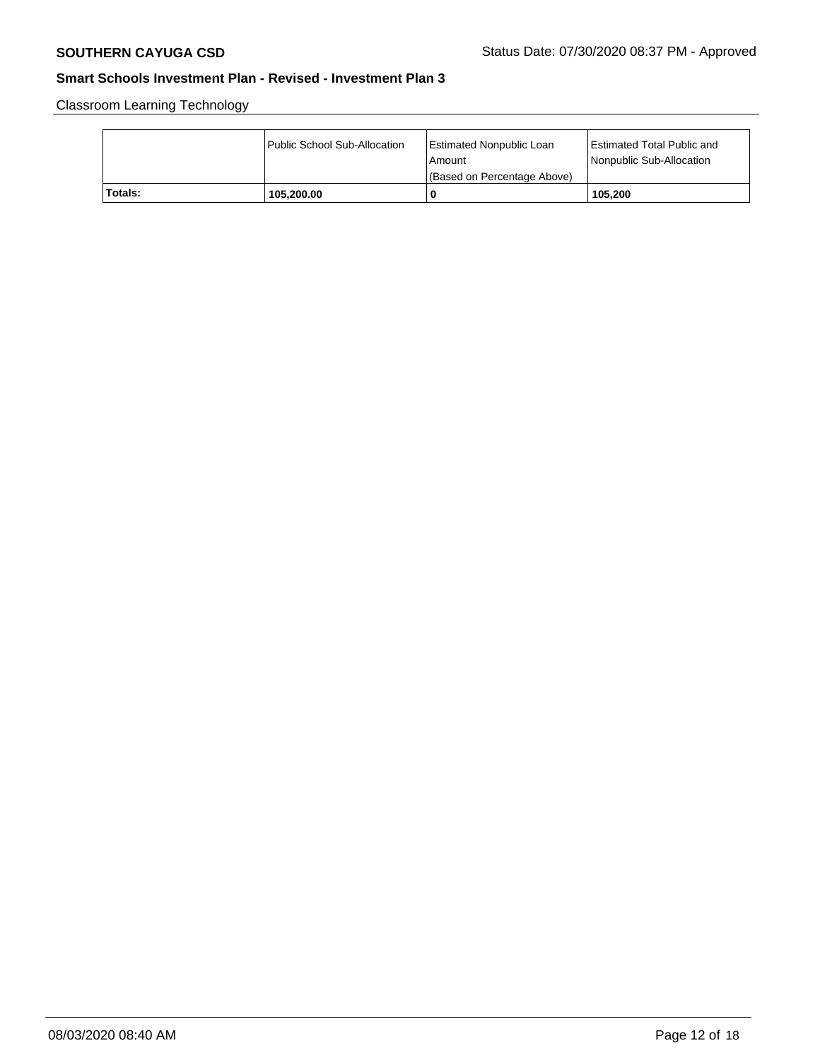Classroom Learning Technology

|         | Public School Sub-Allocation | Estimated Nonpublic Loan<br>l Amount<br>(Based on Percentage Above) | Estimated Total Public and<br>Nonpublic Sub-Allocation |
|---------|------------------------------|---------------------------------------------------------------------|--------------------------------------------------------|
| Totals: | 105,200.00                   | -0                                                                  | 105.200                                                |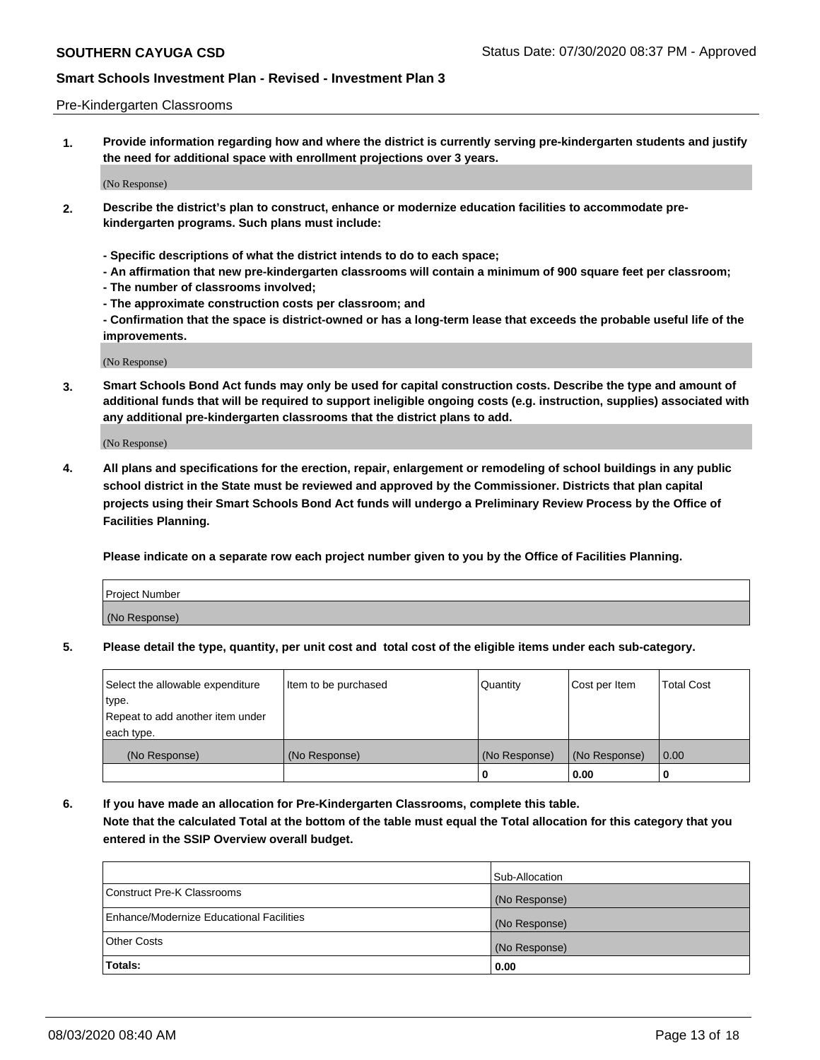#### Pre-Kindergarten Classrooms

**1. Provide information regarding how and where the district is currently serving pre-kindergarten students and justify the need for additional space with enrollment projections over 3 years.**

(No Response)

- **2. Describe the district's plan to construct, enhance or modernize education facilities to accommodate prekindergarten programs. Such plans must include:**
	- **Specific descriptions of what the district intends to do to each space;**
	- **An affirmation that new pre-kindergarten classrooms will contain a minimum of 900 square feet per classroom;**
	- **The number of classrooms involved;**
	- **The approximate construction costs per classroom; and**
	- **Confirmation that the space is district-owned or has a long-term lease that exceeds the probable useful life of the improvements.**

(No Response)

**3. Smart Schools Bond Act funds may only be used for capital construction costs. Describe the type and amount of additional funds that will be required to support ineligible ongoing costs (e.g. instruction, supplies) associated with any additional pre-kindergarten classrooms that the district plans to add.**

(No Response)

**4. All plans and specifications for the erection, repair, enlargement or remodeling of school buildings in any public school district in the State must be reviewed and approved by the Commissioner. Districts that plan capital projects using their Smart Schools Bond Act funds will undergo a Preliminary Review Process by the Office of Facilities Planning.**

**Please indicate on a separate row each project number given to you by the Office of Facilities Planning.**

| Project Number |  |
|----------------|--|
| (No Response)  |  |
|                |  |

**5. Please detail the type, quantity, per unit cost and total cost of the eligible items under each sub-category.**

| Select the allowable expenditure | Item to be purchased | Quantity      | Cost per Item | <b>Total Cost</b> |
|----------------------------------|----------------------|---------------|---------------|-------------------|
| type.                            |                      |               |               |                   |
| Repeat to add another item under |                      |               |               |                   |
| each type.                       |                      |               |               |                   |
| (No Response)                    | (No Response)        | (No Response) | (No Response) | 0.00              |
|                                  |                      | U             | 0.00          |                   |

**6. If you have made an allocation for Pre-Kindergarten Classrooms, complete this table. Note that the calculated Total at the bottom of the table must equal the Total allocation for this category that you entered in the SSIP Overview overall budget.**

|                                          | Sub-Allocation |
|------------------------------------------|----------------|
| Construct Pre-K Classrooms               | (No Response)  |
| Enhance/Modernize Educational Facilities | (No Response)  |
| <b>Other Costs</b>                       | (No Response)  |
| Totals:                                  | 0.00           |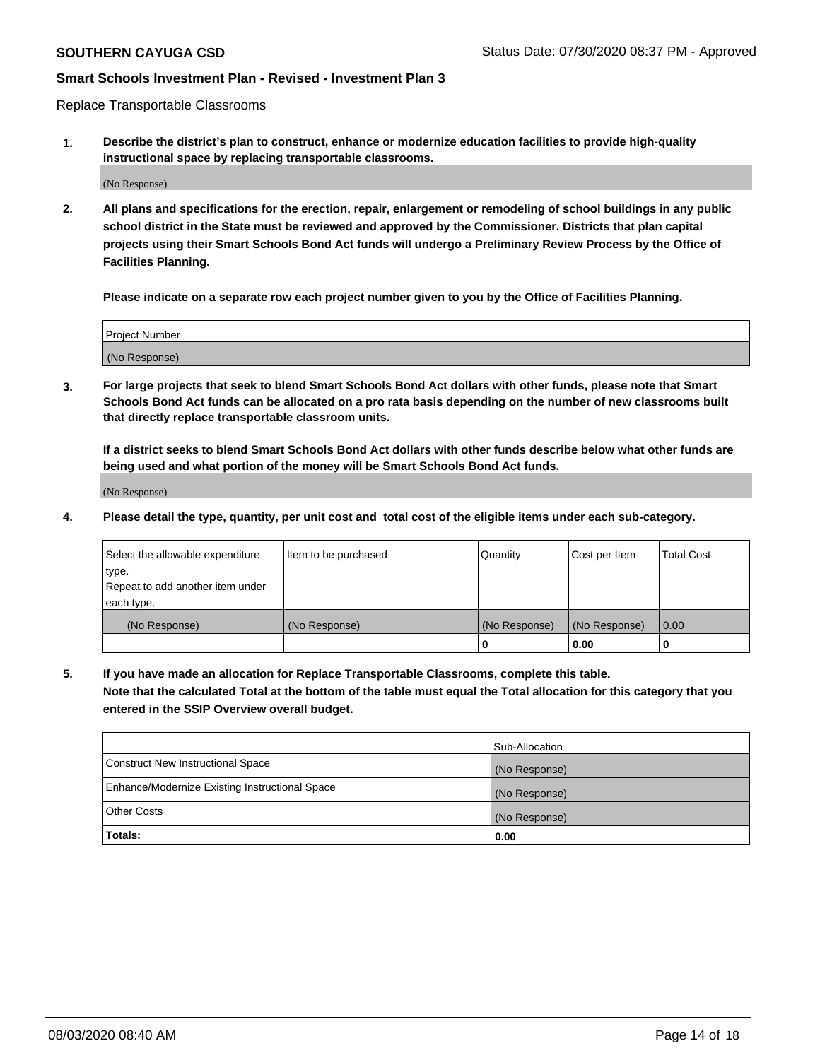Replace Transportable Classrooms

**1. Describe the district's plan to construct, enhance or modernize education facilities to provide high-quality instructional space by replacing transportable classrooms.**

(No Response)

**2. All plans and specifications for the erection, repair, enlargement or remodeling of school buildings in any public school district in the State must be reviewed and approved by the Commissioner. Districts that plan capital projects using their Smart Schools Bond Act funds will undergo a Preliminary Review Process by the Office of Facilities Planning.**

**Please indicate on a separate row each project number given to you by the Office of Facilities Planning.**

| Project Number |  |
|----------------|--|
|                |  |
|                |  |
|                |  |
| (No Response)  |  |
|                |  |
|                |  |

**3. For large projects that seek to blend Smart Schools Bond Act dollars with other funds, please note that Smart Schools Bond Act funds can be allocated on a pro rata basis depending on the number of new classrooms built that directly replace transportable classroom units.**

**If a district seeks to blend Smart Schools Bond Act dollars with other funds describe below what other funds are being used and what portion of the money will be Smart Schools Bond Act funds.**

(No Response)

**4. Please detail the type, quantity, per unit cost and total cost of the eligible items under each sub-category.**

| Select the allowable expenditure           | Item to be purchased | Quantity      | Cost per Item | <b>Total Cost</b> |
|--------------------------------------------|----------------------|---------------|---------------|-------------------|
| ∣type.<br>Repeat to add another item under |                      |               |               |                   |
| each type.                                 |                      |               |               |                   |
| (No Response)                              | (No Response)        | (No Response) | (No Response) | 0.00              |
|                                            |                      | 0             | 0.00          |                   |

**5. If you have made an allocation for Replace Transportable Classrooms, complete this table. Note that the calculated Total at the bottom of the table must equal the Total allocation for this category that you entered in the SSIP Overview overall budget.**

|                                                | Sub-Allocation |
|------------------------------------------------|----------------|
| Construct New Instructional Space              | (No Response)  |
| Enhance/Modernize Existing Instructional Space | (No Response)  |
| Other Costs                                    | (No Response)  |
| Totals:                                        | 0.00           |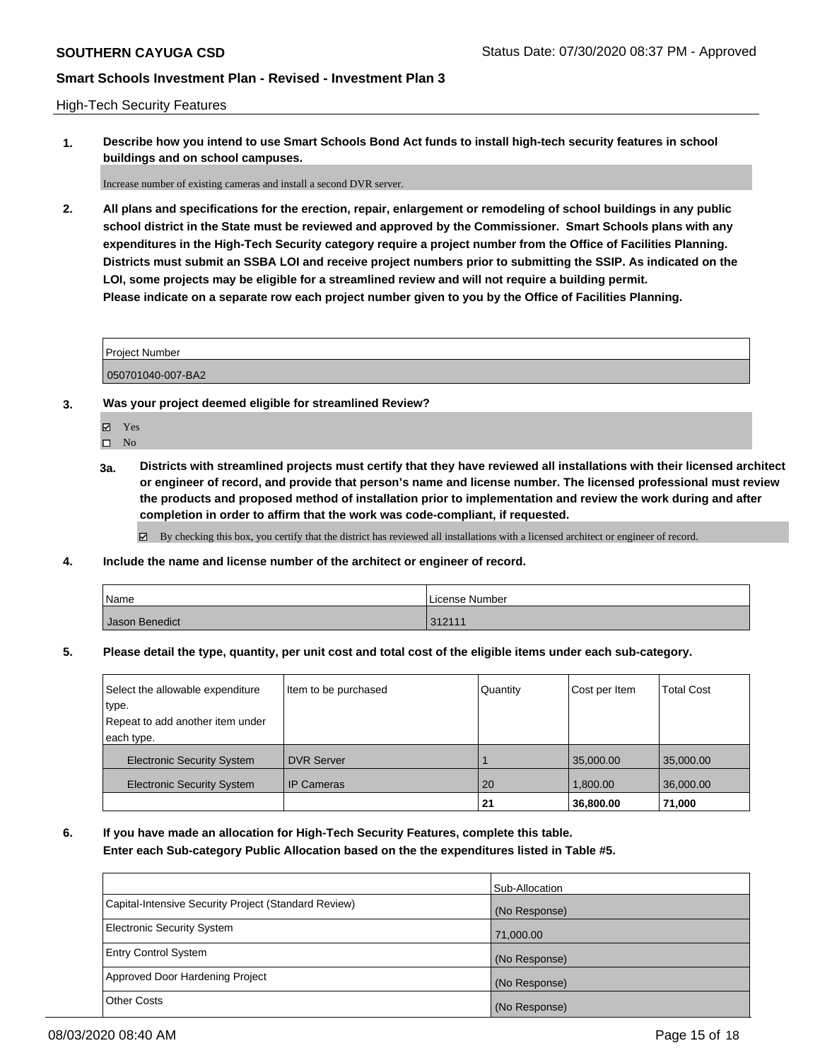High-Tech Security Features

**1. Describe how you intend to use Smart Schools Bond Act funds to install high-tech security features in school buildings and on school campuses.**

Increase number of existing cameras and install a second DVR server.

**2. All plans and specifications for the erection, repair, enlargement or remodeling of school buildings in any public school district in the State must be reviewed and approved by the Commissioner. Smart Schools plans with any expenditures in the High-Tech Security category require a project number from the Office of Facilities Planning. Districts must submit an SSBA LOI and receive project numbers prior to submitting the SSIP. As indicated on the LOI, some projects may be eligible for a streamlined review and will not require a building permit. Please indicate on a separate row each project number given to you by the Office of Facilities Planning.**

| <b>Project Number</b> |  |
|-----------------------|--|
| 050701040-007-BA2     |  |

- **3. Was your project deemed eligible for streamlined Review?**
	- Yes

 $\square$  No

**3a. Districts with streamlined projects must certify that they have reviewed all installations with their licensed architect or engineer of record, and provide that person's name and license number. The licensed professional must review the products and proposed method of installation prior to implementation and review the work during and after completion in order to affirm that the work was code-compliant, if requested.**

By checking this box, you certify that the district has reviewed all installations with a licensed architect or engineer of record.

**4. Include the name and license number of the architect or engineer of record.**

| Name           | License Number |
|----------------|----------------|
| Jason Benedict | 312111         |

**5. Please detail the type, quantity, per unit cost and total cost of the eligible items under each sub-category.**

| Select the allowable expenditure  | Item to be purchased | Quantity | Cost per Item | <b>Total Cost</b> |
|-----------------------------------|----------------------|----------|---------------|-------------------|
| type.                             |                      |          |               |                   |
| Repeat to add another item under  |                      |          |               |                   |
| each type.                        |                      |          |               |                   |
| <b>Electronic Security System</b> | <b>DVR Server</b>    |          | 35,000.00     | 35,000.00         |
| <b>Electronic Security System</b> | <b>IP Cameras</b>    | 20       | 1,800.00      | 36,000.00         |
|                                   |                      | 21       | 36,800.00     | 71,000            |

**6. If you have made an allocation for High-Tech Security Features, complete this table. Enter each Sub-category Public Allocation based on the the expenditures listed in Table #5.**

|                                                      | Sub-Allocation |
|------------------------------------------------------|----------------|
| Capital-Intensive Security Project (Standard Review) | (No Response)  |
| <b>Electronic Security System</b>                    | 71,000.00      |
| <b>Entry Control System</b>                          | (No Response)  |
| Approved Door Hardening Project                      | (No Response)  |
| <b>Other Costs</b>                                   | (No Response)  |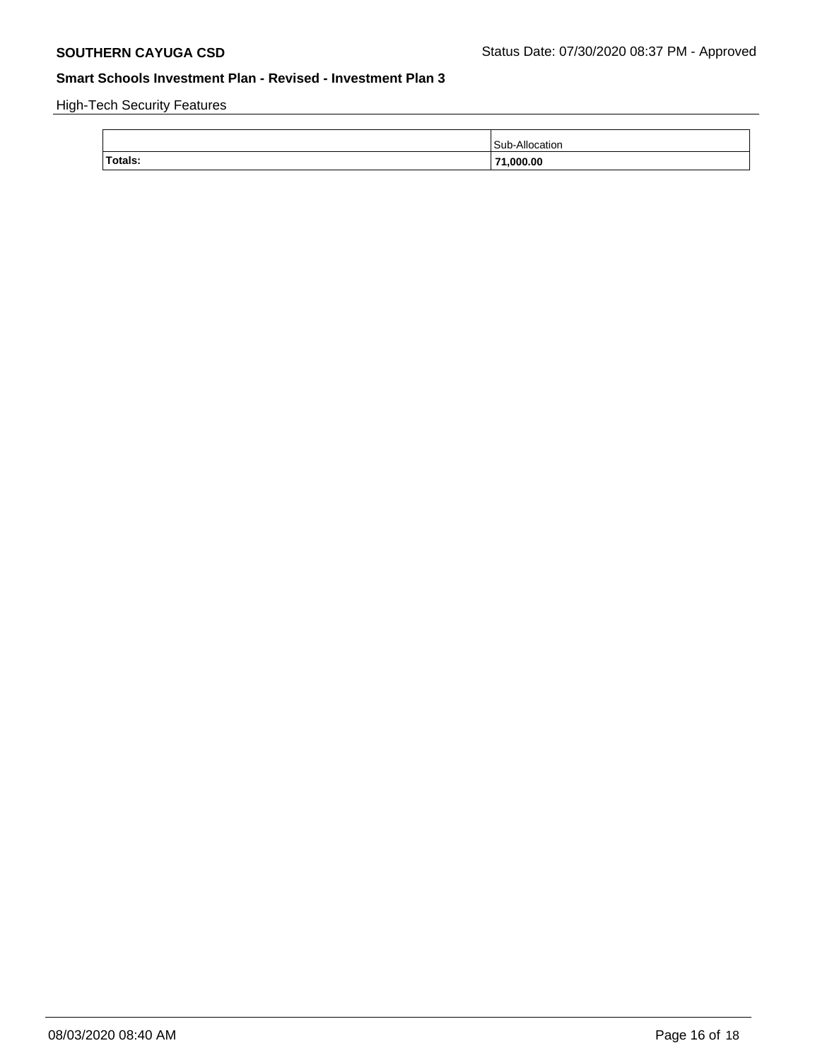High-Tech Security Features

| Totals:<br>71.000.00 |  |
|----------------------|--|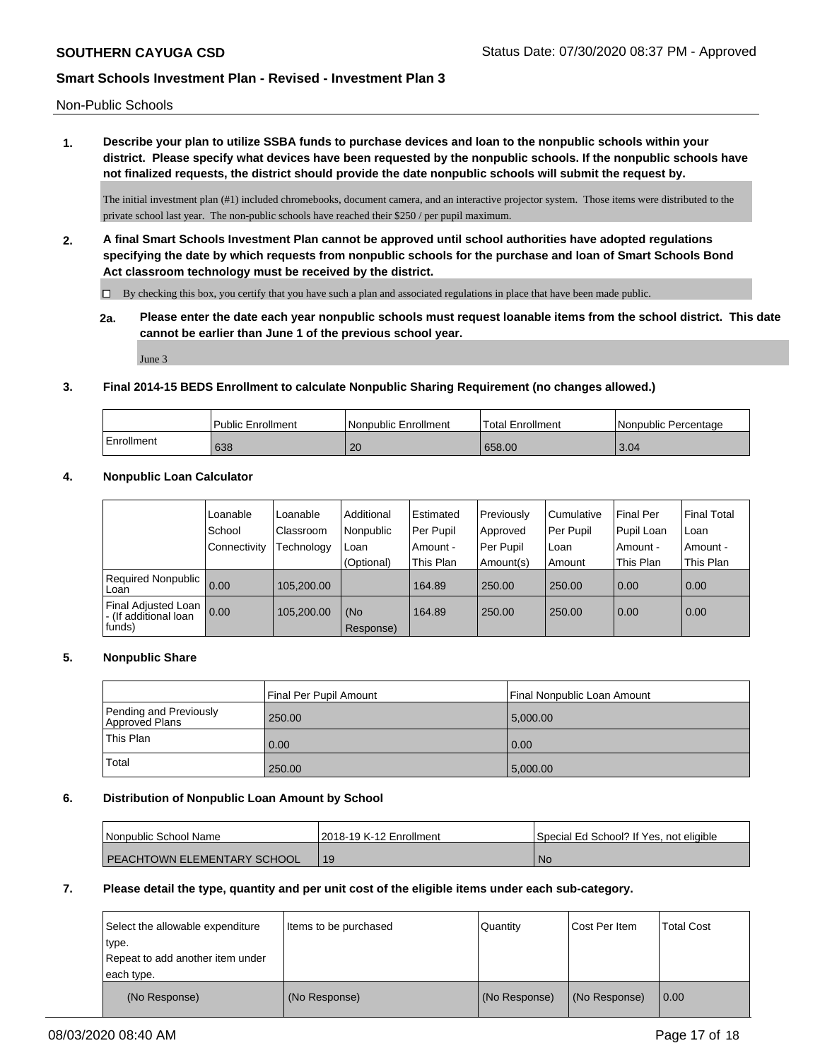Non-Public Schools

**1. Describe your plan to utilize SSBA funds to purchase devices and loan to the nonpublic schools within your district. Please specify what devices have been requested by the nonpublic schools. If the nonpublic schools have not finalized requests, the district should provide the date nonpublic schools will submit the request by.**

The initial investment plan (#1) included chromebooks, document camera, and an interactive projector system. Those items were distributed to the private school last year. The non-public schools have reached their \$250 / per pupil maximum.

**2. A final Smart Schools Investment Plan cannot be approved until school authorities have adopted regulations specifying the date by which requests from nonpublic schools for the purchase and loan of Smart Schools Bond Act classroom technology must be received by the district.**

 $\Box$  By checking this box, you certify that you have such a plan and associated regulations in place that have been made public.

**2a. Please enter the date each year nonpublic schools must request loanable items from the school district. This date cannot be earlier than June 1 of the previous school year.**

June 3

#### **3. Final 2014-15 BEDS Enrollment to calculate Nonpublic Sharing Requirement (no changes allowed.)**

|            | Public Enrollment | Nonpublic Enrollment | 'Total Enrollment | I Nonpublic Percentage |
|------------|-------------------|----------------------|-------------------|------------------------|
| Enrollment | 638               | 20                   | 658.00            | 3.04                   |

### **4. Nonpublic Loan Calculator**

|                                                          | Loanable     | Loanable   | Additional       | Estimated | Previously | l Cumulative | <b>Final Per</b> | <b>Final Total</b> |
|----------------------------------------------------------|--------------|------------|------------------|-----------|------------|--------------|------------------|--------------------|
|                                                          | School       | Classroom  | Nonpublic        | Per Pupil | Approved   | Per Pupil    | Pupil Loan       | ⊺Loan              |
|                                                          | Connectivity | Technology | Loan             | Amount -  | Per Pupil  | Loan         | Amount -         | Amount -           |
|                                                          |              |            | (Optional)       | This Plan | Amount(s)  | Amount       | This Plan        | This Plan          |
| <b>Required Nonpublic</b><br>Loan                        | 0.00         | 105.200.00 |                  | 164.89    | 250.00     | 250.00       | 0.00             | 0.00               |
| Final Adjusted Loan<br>I - (If additional loan<br>funds) | 0.00         | 105,200.00 | (No<br>Response) | 164.89    | 250.00     | 250.00       | 0.00             | 0.00               |

#### **5. Nonpublic Share**

|                                          | Final Per Pupil Amount | l Final Nonpublic Loan Amount |
|------------------------------------------|------------------------|-------------------------------|
| Pending and Previously<br>Approved Plans | 250.00                 | 5,000.00                      |
| <sup>1</sup> This Plan                   | 0.00                   | 0.00                          |
| Total                                    | 250.00                 | 5,000.00                      |

#### **6. Distribution of Nonpublic Loan Amount by School**

| <b>Nonpublic School Name</b>         | 12018-19 K-12 Enrollment | Special Ed School? If Yes, not eligible |
|--------------------------------------|--------------------------|-----------------------------------------|
| <b>I PEACHTOWN ELEMENTARY SCHOOL</b> |                          | N0                                      |

#### **7. Please detail the type, quantity and per unit cost of the eligible items under each sub-category.**

| Select the allowable expenditure<br>type.<br>Repeat to add another item under<br>each type. | Items to be purchased | Quantity      | Cost Per Item | <b>Total Cost</b> |
|---------------------------------------------------------------------------------------------|-----------------------|---------------|---------------|-------------------|
| (No Response)                                                                               | (No Response)         | (No Response) | (No Response) | 0.00              |